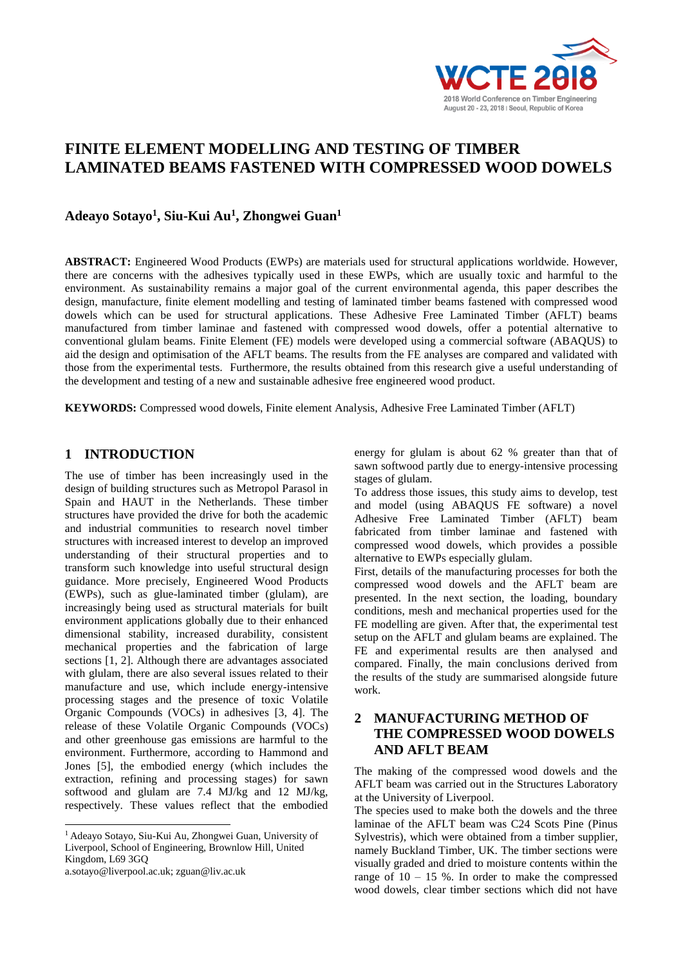

# **FINITE ELEMENT MODELLING AND TESTING OF TIMBER LAMINATED BEAMS FASTENED WITH COMPRESSED WOOD DOWELS**

**Adeayo Sotayo<sup>1</sup> , Siu-Kui Au<sup>1</sup> , Zhongwei Guan<sup>1</sup>**

**ABSTRACT:** Engineered Wood Products (EWPs) are materials used for structural applications worldwide. However, there are concerns with the adhesives typically used in these EWPs, which are usually toxic and harmful to the environment. As sustainability remains a major goal of the current environmental agenda, this paper describes the design, manufacture, finite element modelling and testing of laminated timber beams fastened with compressed wood dowels which can be used for structural applications. These Adhesive Free Laminated Timber (AFLT) beams manufactured from timber laminae and fastened with compressed wood dowels, offer a potential alternative to conventional glulam beams. Finite Element (FE) models were developed using a commercial software (ABAQUS) to aid the design and optimisation of the AFLT beams. The results from the FE analyses are compared and validated with those from the experimental tests. Furthermore, the results obtained from this research give a useful understanding of the development and testing of a new and sustainable adhesive free engineered wood product.

**KEYWORDS:** Compressed wood dowels, Finite element Analysis, Adhesive Free Laminated Timber (AFLT)

#### **1 INTRODUCTION <sup>123</sup>**

The use of timber has been increasingly used in the design of building structures such as Metropol Parasol in Spain and HAUT in the Netherlands. These timber structures have provided the drive for both the academic and industrial communities to research novel timber structures with increased interest to develop an improved understanding of their structural properties and to transform such knowledge into useful structural design guidance. More precisely, Engineered Wood Products (EWPs), such as glue-laminated timber (glulam), are increasingly being used as structural materials for built environment applications globally due to their enhanced dimensional stability, increased durability, consistent mechanical properties and the fabrication of large sections [1, 2]. Although there are advantages associated with glulam, there are also several issues related to their manufacture and use, which include energy-intensive processing stages and the presence of toxic Volatile Organic Compounds (VOCs) in adhesives [3, 4]. The release of these Volatile Organic Compounds (VOCs) and other greenhouse gas emissions are harmful to the environment. Furthermore, according to Hammond and Jones [5], the embodied energy (which includes the extraction, refining and processing stages) for sawn softwood and glulam are 7.4 MJ/kg and 12 MJ/kg, respectively. These values reflect that the embodied

a.sotayo@liverpool.ac.uk; zguan@liv.ac.uk

 $\overline{a}$ 

energy for glulam is about 62 % greater than that of sawn softwood partly due to energy-intensive processing stages of glulam.

To address those issues, this study aims to develop, test and model (using ABAQUS FE software) a novel Adhesive Free Laminated Timber (AFLT) beam fabricated from timber laminae and fastened with compressed wood dowels, which provides a possible alternative to EWPs especially glulam.

First, details of the manufacturing processes for both the compressed wood dowels and the AFLT beam are presented. In the next section, the loading, boundary conditions, mesh and mechanical properties used for the FE modelling are given. After that, the experimental test setup on the AFLT and glulam beams are explained. The FE and experimental results are then analysed and compared. Finally, the main conclusions derived from the results of the study are summarised alongside future work.

## **2 MANUFACTURING METHOD OF THE COMPRESSED WOOD DOWELS AND AFLT BEAM**

The making of the compressed wood dowels and the AFLT beam was carried out in the Structures Laboratory at the University of Liverpool.

The species used to make both the dowels and the three laminae of the AFLT beam was C24 Scots Pine (Pinus Sylvestris), which were obtained from a timber supplier, namely Buckland Timber, UK. The timber sections were visually graded and dried to moisture contents within the range of  $10 - 15$  %. In order to make the compressed wood dowels, clear timber sections which did not have

<sup>1</sup> Adeayo Sotayo, Siu-Kui Au, Zhongwei Guan, University of Liverpool, School of Engineering, Brownlow Hill, United Kingdom, L69 3GQ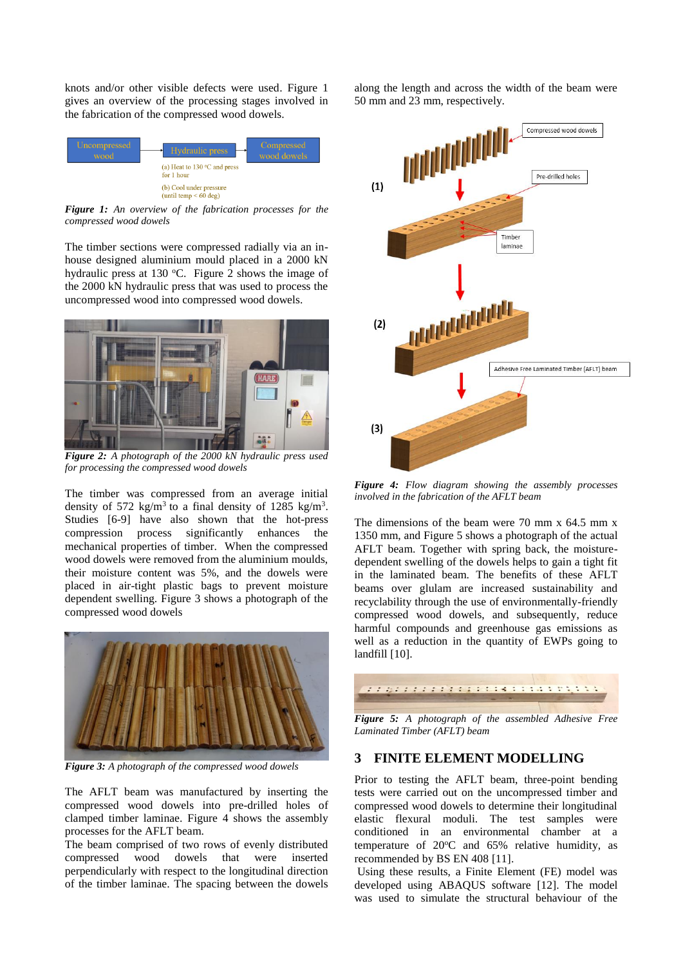knots and/or other visible defects were used. Figure 1 gives an overview of the processing stages involved in the fabrication of the compressed wood dowels.



*Figure 1: An overview of the fabrication processes for the compressed wood dowels*

The timber sections were compressed radially via an inhouse designed aluminium mould placed in a 2000 kN hydraulic press at 130  $^{\circ}$ C. Figure 2 shows the image of the 2000 kN hydraulic press that was used to process the uncompressed wood into compressed wood dowels.



*Figure 2: A photograph of the 2000 kN hydraulic press used for processing the compressed wood dowels*

The timber was compressed from an average initial density of 572 kg/m<sup>3</sup> to a final density of 1285 kg/m<sup>3</sup>. Studies [6-9] have also shown that the hot-press compression process significantly enhances the mechanical properties of timber. When the compressed wood dowels were removed from the aluminium moulds, their moisture content was 5%, and the dowels were placed in air-tight plastic bags to prevent moisture dependent swelling. Figure 3 shows a photograph of the compressed wood dowels



*Figure 3: A photograph of the compressed wood dowels*

The AFLT beam was manufactured by inserting the compressed wood dowels into pre-drilled holes of clamped timber laminae. Figure 4 shows the assembly processes for the AFLT beam.

The beam comprised of two rows of evenly distributed compressed wood dowels that were inserted perpendicularly with respect to the longitudinal direction of the timber laminae. The spacing between the dowels

along the length and across the width of the beam were 50 mm and 23 mm, respectively.



*Figure 4: Flow diagram showing the assembly processes involved in the fabrication of the AFLT beam*

The dimensions of the beam were 70 mm x 64.5 mm x 1350 mm, and Figure 5 shows a photograph of the actual AFLT beam. Together with spring back, the moisturedependent swelling of the dowels helps to gain a tight fit in the laminated beam. The benefits of these AFLT beams over glulam are increased sustainability and recyclability through the use of environmentally-friendly compressed wood dowels, and subsequently, reduce harmful compounds and greenhouse gas emissions as well as a reduction in the quantity of EWPs going to landfill [10].



*Figure 5: A photograph of the assembled Adhesive Free Laminated Timber (AFLT) beam*

### **3 FINITE ELEMENT MODELLING**

Prior to testing the AFLT beam, three-point bending tests were carried out on the uncompressed timber and compressed wood dowels to determine their longitudinal elastic flexural moduli. The test samples were conditioned in an environmental chamber at a temperature of  $20^{\circ}$ C and  $65%$  relative humidity, as recommended by BS EN 408 [11].

Using these results, a Finite Element (FE) model was developed using ABAQUS software [12]. The model was used to simulate the structural behaviour of the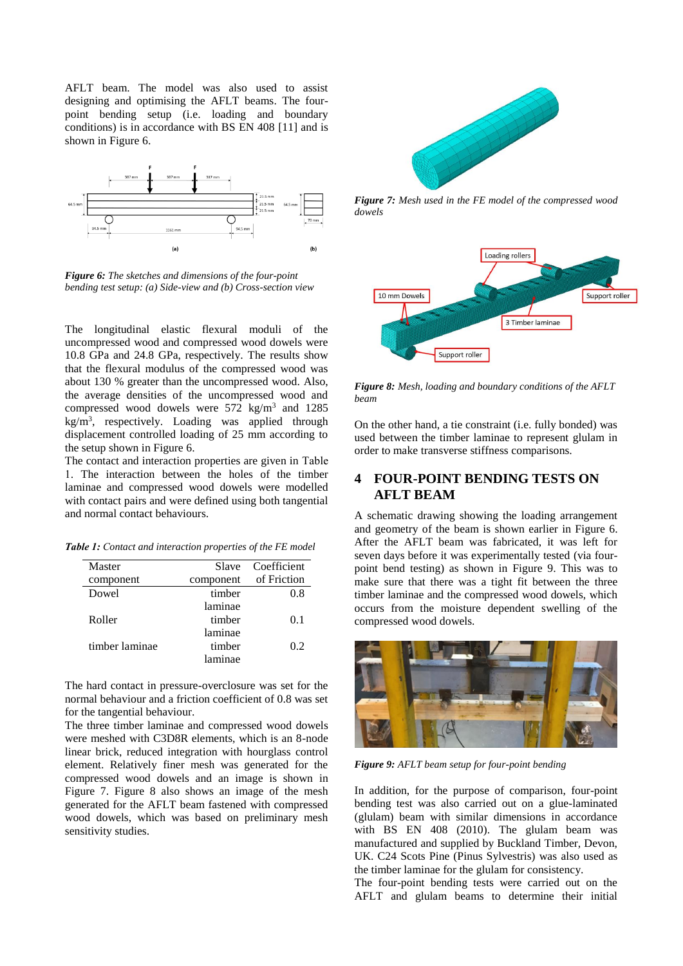AFLT beam. The model was also used to assist designing and optimising the AFLT beams. The fourpoint bending setup (i.e. loading and boundary conditions) is in accordance with BS EN 408 [11] and is shown in Figure 6.



*Figure 6: The sketches and dimensions of the four-point bending test setup: (a) Side-view and (b) Cross-section view*

The longitudinal elastic flexural moduli of the uncompressed wood and compressed wood dowels were 10.8 GPa and 24.8 GPa, respectively. The results show that the flexural modulus of the compressed wood was about 130 % greater than the uncompressed wood. Also, the average densities of the uncompressed wood and compressed wood dowels were  $572 \text{ kg/m}^3$  and  $1285$  $kg/m<sup>3</sup>$ , respectively. Loading was applied through displacement controlled loading of 25 mm according to the setup shown in Figure 6.

The contact and interaction properties are given in Table 1. The interaction between the holes of the timber laminae and compressed wood dowels were modelled with contact pairs and were defined using both tangential and normal contact behaviours.

| Master         | Slave     | Coefficient |
|----------------|-----------|-------------|
| component      | component | of Friction |
| Dowel          | timber    | 0.8         |
|                | laminae   |             |
| Roller         | timber    | 0.1         |
|                | laminae   |             |
| timber laminae | timber    | 0.2         |
|                | laminae   |             |

*Table 1: Contact and interaction properties of the FE model* 

The hard contact in pressure-overclosure was set for the normal behaviour and a friction coefficient of 0.8 was set for the tangential behaviour.

The three timber laminae and compressed wood dowels were meshed with C3D8R elements, which is an 8-node linear brick, reduced integration with hourglass control element. Relatively finer mesh was generated for the compressed wood dowels and an image is shown in Figure 7. Figure 8 also shows an image of the mesh generated for the AFLT beam fastened with compressed wood dowels, which was based on preliminary mesh sensitivity studies.



*Figure 7: Mesh used in the FE model of the compressed wood dowels*



*Figure 8: Mesh, loading and boundary conditions of the AFLT beam*

On the other hand, a tie constraint (i.e. fully bonded) was used between the timber laminae to represent glulam in order to make transverse stiffness comparisons.

### **4 FOUR-POINT BENDING TESTS ON AFLT BEAM**

A schematic drawing showing the loading arrangement and geometry of the beam is shown earlier in Figure 6. After the AFLT beam was fabricated, it was left for seven days before it was experimentally tested (via fourpoint bend testing) as shown in Figure 9. This was to make sure that there was a tight fit between the three timber laminae and the compressed wood dowels, which occurs from the moisture dependent swelling of the compressed wood dowels.



*Figure 9: AFLT beam setup for four-point bending* 

In addition, for the purpose of comparison, four-point bending test was also carried out on a glue-laminated (glulam) beam with similar dimensions in accordance with BS EN 408 (2010). The glulam beam was manufactured and supplied by Buckland Timber, Devon, UK. C24 Scots Pine (Pinus Sylvestris) was also used as the timber laminae for the glulam for consistency.

The four-point bending tests were carried out on the AFLT and glulam beams to determine their initial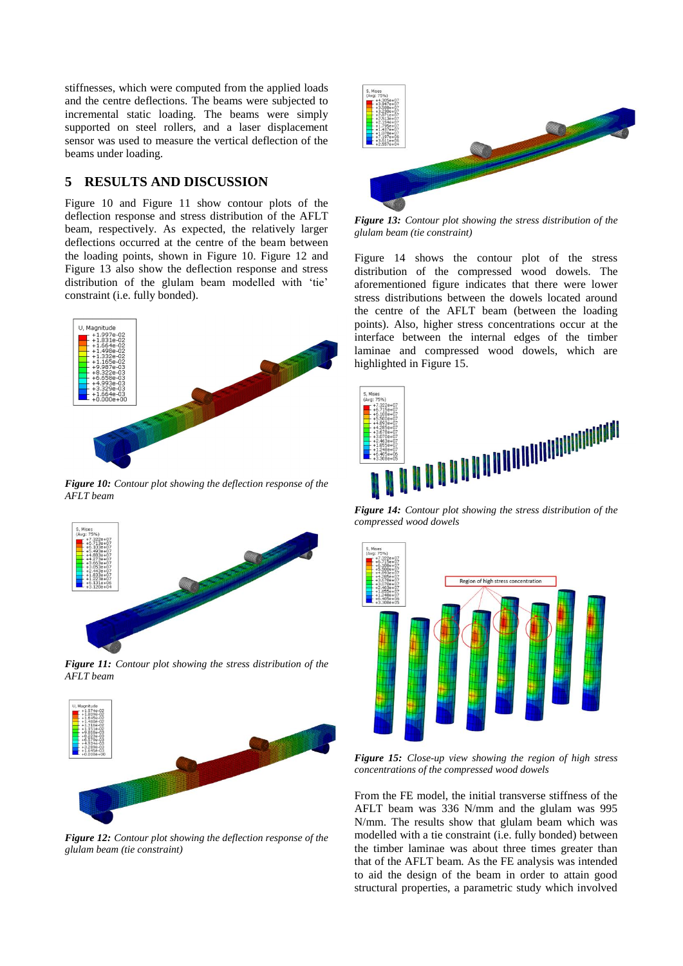stiffnesses, which were computed from the applied loads and the centre deflections. The beams were subjected to incremental static loading. The beams were simply supported on steel rollers, and a laser displacement sensor was used to measure the vertical deflection of the beams under loading.

#### **5 RESULTS AND DISCUSSION**

Figure 10 and Figure 11 show contour plots of the deflection response and stress distribution of the AFLT beam, respectively. As expected, the relatively larger deflections occurred at the centre of the beam between the loading points, shown in Figure 10. Figure 12 and Figure 13 also show the deflection response and stress distribution of the glulam beam modelled with 'tie' constraint (i.e. fully bonded).



*Figure 10: Contour plot showing the deflection response of the AFLT beam* 



*Figure 11: Contour plot showing the stress distribution of the AFLT beam*



*Figure 12: Contour plot showing the deflection response of the glulam beam (tie constraint)*



*Figure 13: Contour plot showing the stress distribution of the glulam beam (tie constraint)*

Figure 14 shows the contour plot of the stress distribution of the compressed wood dowels. The aforementioned figure indicates that there were lower stress distributions between the dowels located around the centre of the AFLT beam (between the loading points). Also, higher stress concentrations occur at the interface between the internal edges of the timber laminae and compressed wood dowels, which are highlighted in Figure 15.



*Figure 14: Contour plot showing the stress distribution of the compressed wood dowels* 



*Figure 15: Close-up view showing the region of high stress concentrations of the compressed wood dowels*

From the FE model, the initial transverse stiffness of the AFLT beam was 336 N/mm and the glulam was 995 N/mm. The results show that glulam beam which was modelled with a tie constraint (i.e. fully bonded) between the timber laminae was about three times greater than that of the AFLT beam. As the FE analysis was intended to aid the design of the beam in order to attain good structural properties, a parametric study which involved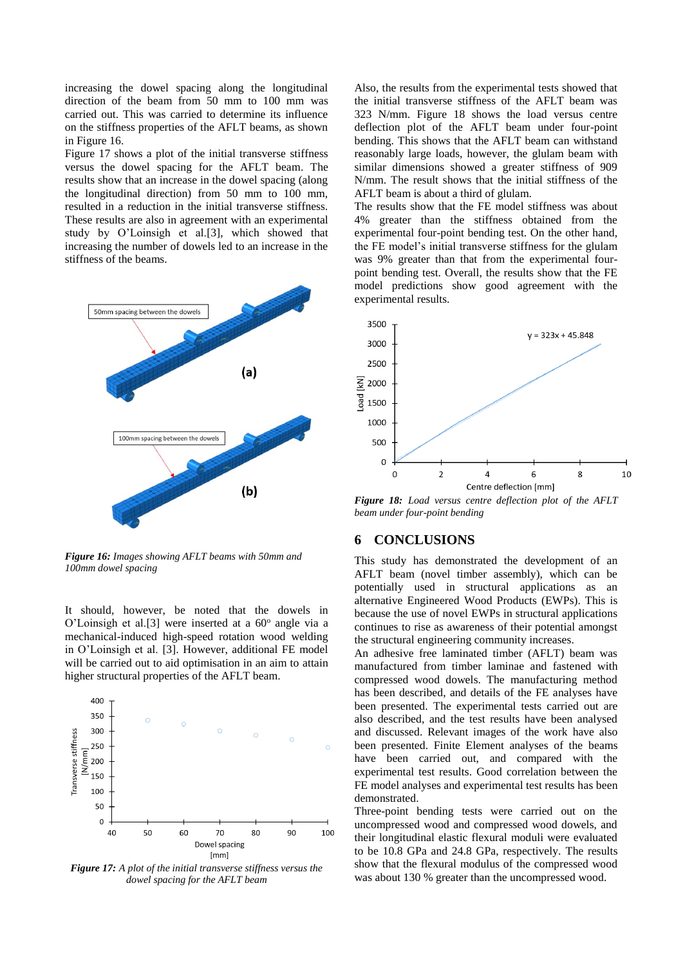increasing the dowel spacing along the longitudinal direction of the beam from 50 mm to 100 mm was carried out. This was carried to determine its influence on the stiffness properties of the AFLT beams, as shown in Figure 16.

Figure 17 shows a plot of the initial transverse stiffness versus the dowel spacing for the AFLT beam. The results show that an increase in the dowel spacing (along the longitudinal direction) from 50 mm to 100 mm, resulted in a reduction in the initial transverse stiffness. These results are also in agreement with an experimental study by O'Loinsigh et al.[3], which showed that increasing the number of dowels led to an increase in the stiffness of the beams.



*Figure 16: Images showing AFLT beams with 50mm and 100mm dowel spacing*

It should, however, be noted that the dowels in O'Loinsigh et al.[3] were inserted at a  $60^\circ$  angle via a mechanical-induced high-speed rotation wood welding in O'Loinsigh et al. [3]. However, additional FE model will be carried out to aid optimisation in an aim to attain higher structural properties of the AFLT beam.



*Figure 17: A plot of the initial transverse stiffness versus the dowel spacing for the AFLT beam*

Also, the results from the experimental tests showed that the initial transverse stiffness of the AFLT beam was 323 N/mm. Figure 18 shows the load versus centre deflection plot of the AFLT beam under four-point bending. This shows that the AFLT beam can withstand reasonably large loads, however, the glulam beam with similar dimensions showed a greater stiffness of 909 N/mm. The result shows that the initial stiffness of the AFLT beam is about a third of glulam.

The results show that the FE model stiffness was about 4% greater than the stiffness obtained from the experimental four-point bending test. On the other hand, the FE model's initial transverse stiffness for the glulam was 9% greater than that from the experimental fourpoint bending test. Overall, the results show that the FE model predictions show good agreement with the experimental results.



*Figure 18: Load versus centre deflection plot of the AFLT beam under four-point bending* 

#### **6 CONCLUSIONS**

This study has demonstrated the development of an AFLT beam (novel timber assembly), which can be potentially used in structural applications as an alternative Engineered Wood Products (EWPs). This is because the use of novel EWPs in structural applications continues to rise as awareness of their potential amongst the structural engineering community increases.

An adhesive free laminated timber (AFLT) beam was manufactured from timber laminae and fastened with compressed wood dowels. The manufacturing method has been described, and details of the FE analyses have been presented. The experimental tests carried out are also described, and the test results have been analysed and discussed. Relevant images of the work have also been presented. Finite Element analyses of the beams have been carried out, and compared with the experimental test results. Good correlation between the FE model analyses and experimental test results has been demonstrated.

Three-point bending tests were carried out on the uncompressed wood and compressed wood dowels, and their longitudinal elastic flexural moduli were evaluated to be 10.8 GPa and 24.8 GPa, respectively. The results show that the flexural modulus of the compressed wood was about 130 % greater than the uncompressed wood.